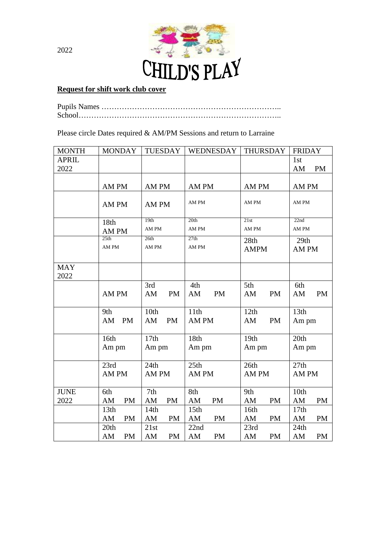

## **Request for shift work club cover**

Pupils Names …………………………………………………………….. School……………………………………………………………………..

Please circle Dates required & AM/PM Sessions and return to Larraine

| <b>MONTH</b>         | <b>MONDAY</b>           | <b>TUESDAY</b>          | <b>WEDNESDAY</b>                    | <b>THURSDAY</b>         | <b>FRIDAY</b>           |
|----------------------|-------------------------|-------------------------|-------------------------------------|-------------------------|-------------------------|
| <b>APRIL</b><br>2022 |                         |                         |                                     |                         | 1st<br>AM<br><b>PM</b>  |
|                      | AM PM                   | AM PM                   | AM PM                               | AM PM                   | AM PM                   |
|                      | AM PM                   | AM PM                   | AM PM                               | AM PM                   | AM PM                   |
|                      | 18th                    | 19th                    | 20th                                | 21st                    | 22nd                    |
|                      | AM PM                   | AM PM                   | AM PM                               | AM PM                   | AM PM                   |
|                      | 25th<br>AM PM           | 26th<br>AM PM           | 27th<br>AM PM                       | 28th<br><b>AMPM</b>     | 29th<br>AM PM           |
| <b>MAY</b><br>2022   |                         |                         |                                     |                         |                         |
|                      | AM PM                   | 3rd<br><b>PM</b><br>AM  | 4th<br><b>PM</b><br>AM              | 5th<br>AM<br><b>PM</b>  | 6th<br><b>PM</b><br>AM  |
|                      | 9th<br><b>PM</b><br>AM  | 10th<br><b>PM</b><br>AM | 11th<br>AM PM                       | 12th<br>PM<br>AM        | 13th<br>Am pm           |
|                      | 16th<br>Am pm           | 17th<br>Am pm           | 18th<br>Am pm                       | 19th<br>Am pm           | 20th<br>Am pm           |
|                      | 23rd<br>AM PM           | 24th<br>AM PM           | 25th<br>AM PM                       | 26th<br>AM PM           | 27th<br>AM PM           |
| <b>JUNE</b>          | 6th                     | 7th                     | 8th                                 | 9th                     | 10th                    |
| 2022                 | AM<br><b>PM</b>         | AM<br><b>PM</b>         | AM<br><b>PM</b>                     | AM<br><b>PM</b>         | AM<br><b>PM</b>         |
|                      | 13th<br>AM<br><b>PM</b> | 14th<br>AM<br><b>PM</b> | 15 <sub>th</sub><br>AM<br><b>PM</b> | 16th<br>AM<br><b>PM</b> | 17th<br>AM<br><b>PM</b> |
|                      | 20th<br><b>PM</b><br>AM | 21st<br><b>PM</b><br>AM | 22nd<br>AM<br><b>PM</b>             | 23rd<br><b>PM</b><br>AM | 24th<br>AM<br><b>PM</b> |

2022